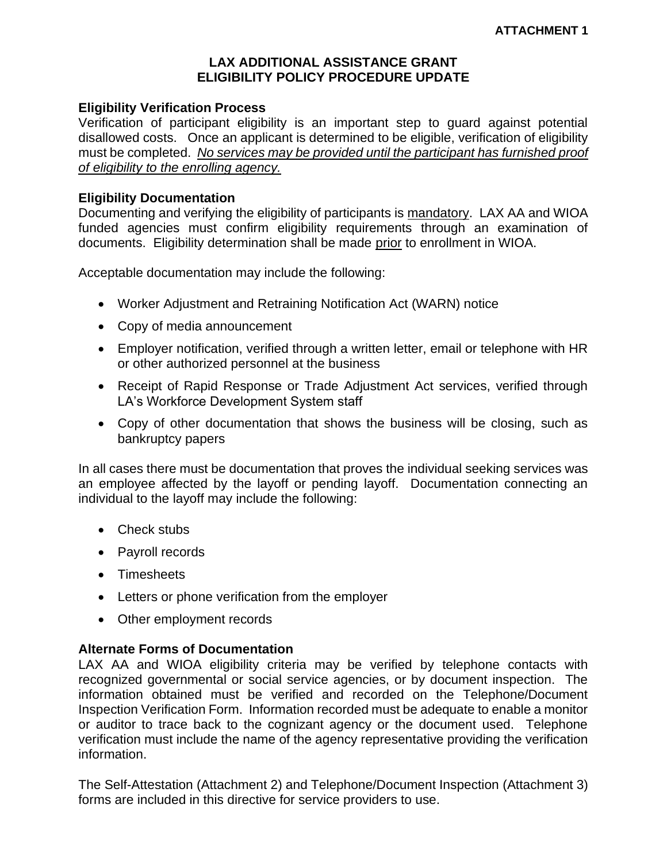# **LAX ADDITIONAL ASSISTANCE GRANT ELIGIBILITY POLICY PROCEDURE UPDATE**

## **Eligibility Verification Process**

Verification of participant eligibility is an important step to guard against potential disallowed costs. Once an applicant is determined to be eligible, verification of eligibility must be completed. *No services may be provided until the participant has furnished proof of eligibility to the enrolling agency.*

#### **Eligibility Documentation**

Documenting and verifying the eligibility of participants is mandatory. LAX AA and WIOA funded agencies must confirm eligibility requirements through an examination of documents. Eligibility determination shall be made prior to enrollment in WIOA.

Acceptable documentation may include the following:

- Worker Adjustment and Retraining Notification Act (WARN) notice
- Copy of media announcement
- Employer notification, verified through a written letter, email or telephone with HR or other authorized personnel at the business
- Receipt of Rapid Response or Trade Adjustment Act services, verified through LA's Workforce Development System staff
- Copy of other documentation that shows the business will be closing, such as bankruptcy papers

In all cases there must be documentation that proves the individual seeking services was an employee affected by the layoff or pending layoff. Documentation connecting an individual to the layoff may include the following:

- Check stubs
- Payroll records
- Timesheets
- Letters or phone verification from the employer
- Other employment records

## **Alternate Forms of Documentation**

LAX AA and WIOA eligibility criteria may be verified by telephone contacts with recognized governmental or social service agencies, or by document inspection. The information obtained must be verified and recorded on the Telephone/Document Inspection Verification Form. Information recorded must be adequate to enable a monitor or auditor to trace back to the cognizant agency or the document used. Telephone verification must include the name of the agency representative providing the verification information.

The Self-Attestation (Attachment 2) and Telephone/Document Inspection (Attachment 3) forms are included in this directive for service providers to use.